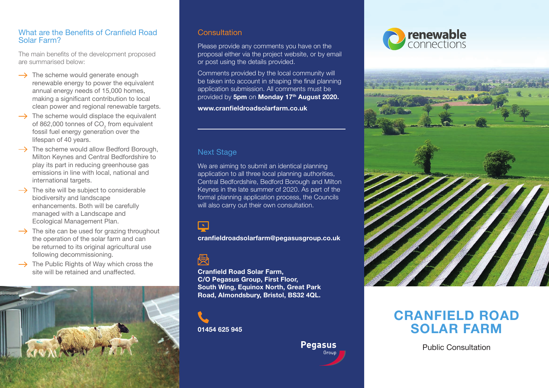#### What are the Benefits of Cranfield Road Solar Farm?

The main benefits of the development proposed are summarised below:

- $\rightarrow$  The scheme would generate enough renewable energy to power the equivalent annual energy needs of 15,000 homes, making a significant contribution to local clean power and regional renewable targets.
- $\rightarrow$  The scheme would displace the equivalent of 862,000 tonnes of  $CO<sub>2</sub>$  from equivalent fossil fuel energy generation over the lifespan of 40 years.
- $\rightarrow$  The scheme would allow Bedford Borough, Milton Keynes and Central Bedfordshire to play its part in reducing greenhouse gas emissions in line with local, national and international targets.
- $\rightarrow$  The site will be subject to considerable biodiversity and landscape enhancements. Both will be carefully managed with a Landscape and Ecological Management Plan.
- $\rightarrow$  The site can be used for grazing throughout the operation of the solar farm and can be returned to its original agricultural use following decommissioning.
- $\rightarrow$  The Public Rights of Way which cross the site will be retained and unaffected.



### **Consultation**

Please provide any comments you have on the proposal either via the project website, or by email or post using the details provided.

Comments provided by the local community will be taken into account in shaping the final planning application submission. All comments must be provided by **5pm** on **Monday 17th August 2020.**

**www.cranfieldroadsolarfarm.co.uk**

#### **Next Stage**

We are aiming to submit an identical planning application to all three local planning authorities, Central Bedfordshire, Bedford Borough and Milton Keynes in the late summer of 2020. As part of the formal planning application process, the Councils will also carry out their own consultation.

 $\overline{\phantom{a}}$ 

**cranfieldroadsolarfarm@pegasusgroup.co.uk**

侵

**Cranfield Road Solar Farm, C/O Pegasus Group, First Floor, South Wing, Equinox North, Great Park Road, Almondsbury, Bristol, BS32 4QL.**

**01454 625 945**

# **Pegasus**





## **CRANFIELD ROAD SOLAR FARM**

Public Consultation